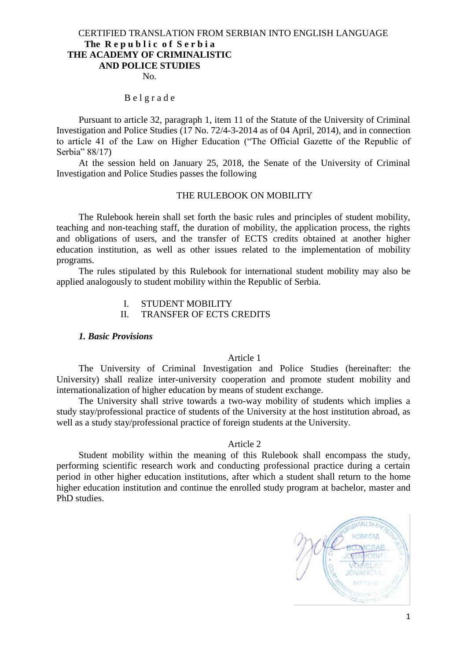## CERTIFIED TRANSLATION FROM SERBIAN INTO ENGLISH LANGUAGE **The R e p u b l i c o f S e r b i a THE ACADEMY OF CRIMINALISTIC AND POLICE STUDIES**

No.

#### B e l g r a d e

Pursuant to article 32, paragraph 1, item 11 of the Statute of the University of Criminal Investigation and Police Studies (17 No. 72/4-3-2014 as of 04 April, 2014), and in connection to article 41 of the Law on Higher Education ("The Official Gazette of the Republic of Serbia" 88/17)

At the session held on January 25, 2018, the Senate of the University of Criminal Investigation and Police Studies passes the following

#### THE RULEBOOK ON MOBILITY

The Rulebook herein shall set forth the basic rules and principles of student mobility, teaching and non-teaching staff, the duration of mobility, the application process, the rights and obligations of users, and the transfer of ECTS credits obtained at another higher education institution, as well as other issues related to the implementation of mobility programs.

The rules stipulated by this Rulebook for international student mobility may also be applied analogously to student mobility within the Republic of Serbia.

I. STUDENT MOBILITY

II. TRANSFER OF ECTS CREDITS

#### *1. Basic Provisions*

#### Article 1

The University of Criminal Investigation and Police Studies (hereinafter: the University) shall realize inter-university cooperation and promote student mobility and internationalization of higher education by means of student exchange.

The University shall strive towards a two-way mobility of students which implies a study stay/professional practice of students of the University at the host institution abroad, as well as a study stay/professional practice of foreign students at the University.

#### Article 2

Student mobility within the meaning of this Rulebook shall encompass the study, performing scientific research work and conducting professional practice during a certain period in other higher education institutions, after which a student shall return to the home higher education institution and continue the enrolled study program at bachelor, master and PhD studies.

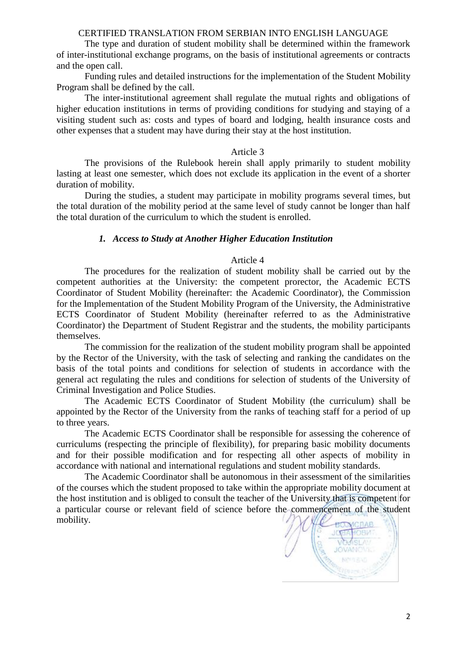The type and duration of student mobility shall be determined within the framework of inter-institutional exchange programs, on the basis of institutional agreements or contracts and the open call.

Funding rules and detailed instructions for the implementation of the Student Mobility Program shall be defined by the call.

The inter-institutional agreement shall regulate the mutual rights and obligations of higher education institutions in terms of providing conditions for studying and staying of a visiting student such as: costs and types of board and lodging, health insurance costs and other expenses that a student may have during their stay at the host institution.

## Article 3

The provisions of the Rulebook herein shall apply primarily to student mobility lasting at least one semester, which does not exclude its application in the event of a shorter duration of mobility.

During the studies, a student may participate in mobility programs several times, but the total duration of the mobility period at the same level of study cannot be longer than half the total duration of the curriculum to which the student is enrolled.

## *1. Access to Study at Another Higher Education Institution*

## Article 4

The procedures for the realization of student mobility shall be carried out by the competent authorities at the University: the competent prorector, the Academic ECTS Coordinator of Student Mobility (hereinafter: the Academic Coordinator), the Commission for the Implementation of the Student Mobility Program of the University, the Administrative ECTS Coordinator of Student Mobility (hereinafter referred to as the Administrative Coordinator) the Department of Student Registrar and the students, the mobility participants themselves.

The commission for the realization of the student mobility program shall be appointed by the Rector of the University, with the task of selecting and ranking the candidates on the basis of the total points and conditions for selection of students in accordance with the general act regulating the rules and conditions for selection of students of the University of Criminal Investigation and Police Studies.

The Academic ECTS Coordinator of Student Mobility (the curriculum) shall be appointed by the Rector of the University from the ranks of teaching staff for a period of up to three years.

The Academic ECTS Coordinator shall be responsible for assessing the coherence of curriculums (respecting the principle of flexibility), for preparing basic mobility documents and for their possible modification and for respecting all other aspects of mobility in accordance with national and international regulations and student mobility standards.

The Academic Coordinator shall be autonomous in their assessment of the similarities of the courses which the student proposed to take within the appropriate mobility document at the host institution and is obliged to consult the teacher of the University that is competent for a particular course or relevant field of science before the commencement of the student mobility.

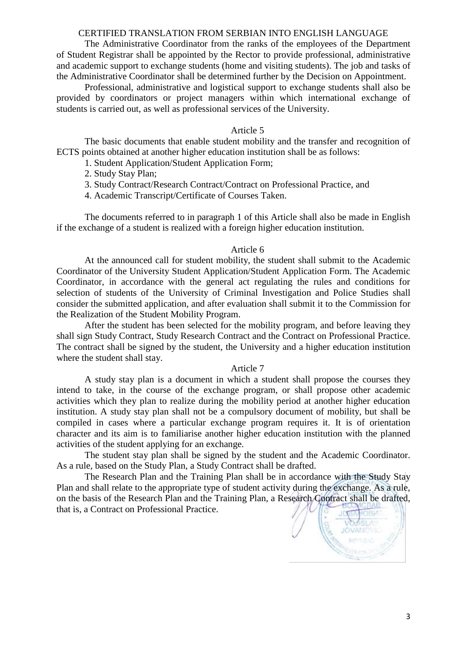The Administrative Coordinator from the ranks of the employees of the Department of Student Registrar shall be appointed by the Rector to provide professional, administrative and academic support to exchange students (home and visiting students). The job and tasks of the Administrative Coordinator shall be determined further by the Decision on Appointment.

Professional, administrative and logistical support to exchange students shall also be provided by coordinators or project managers within which international exchange of students is carried out, as well as professional services of the University.

#### Article 5

The basic documents that enable student mobility and the transfer and recognition of ECTS points obtained at another higher education institution shall be as follows:

1. Student Application/Student Application Form;

2. Study Stay Plan;

3. Study Contract/Research Contract/Contract on Professional Practice, and

4. Academic Transcript/Certificate of Courses Taken.

The documents referred to in paragraph 1 of this Article shall also be made in English if the exchange of a student is realized with a foreign higher education institution.

#### Article 6

At the announced call for student mobility, the student shall submit to the Academic Coordinator of the University Student Application/Student Application Form. The Academic Coordinator, in accordance with the general act regulating the rules and conditions for selection of students of the University of Criminal Investigation and Police Studies shall consider the submitted application, and after evaluation shall submit it to the Commission for the Realization of the Student Mobility Program.

After the student has been selected for the mobility program, and before leaving they shall sign Study Contract, Study Research Contract and the Contract on Professional Practice. The contract shall be signed by the student, the University and a higher education institution where the student shall stay.

## Article 7

A study stay plan is a document in which a student shall propose the courses they intend to take, in the course of the exchange program, or shall propose other academic activities which they plan to realize during the mobility period at another higher education institution. A study stay plan shall not be a compulsory document of mobility, but shall be compiled in cases where a particular exchange program requires it. It is of orientation character and its aim is to familiarise another higher education institution with the planned activities of the student applying for an exchange.

The student stay plan shall be signed by the student and the Academic Coordinator. As a rule, based on the Study Plan, a Study Contract shall be drafted.

The Research Plan and the Training Plan shall be in accordance with the Study Stay Plan and shall relate to the appropriate type of student activity during the exchange. As a rule, on the basis of the Research Plan and the Training Plan, a Research Contract shall be drafted, that is, a Contract on Professional Practice.

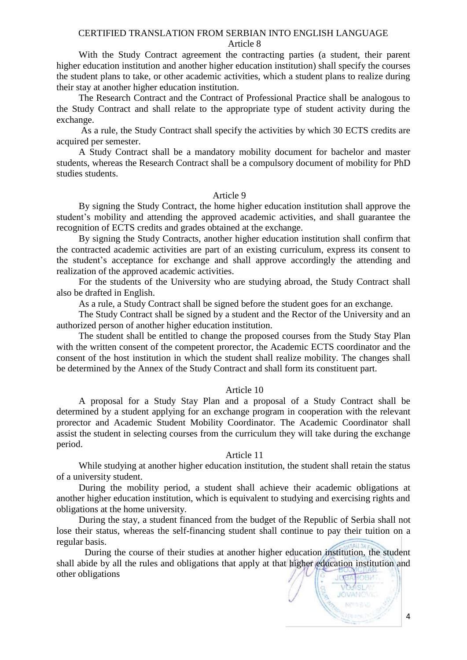With the Study Contract agreement the contracting parties (a student, their parent higher education institution and another higher education institution) shall specify the courses the student plans to take, or other academic activities, which a student plans to realize during their stay at another higher education institution.

The Research Contract and the Contract of Professional Practice shall be analogous to the Study Contract and shall relate to the appropriate type of student activity during the exchange.

As a rule, the Study Contract shall specify the activities by which 30 ECTS credits are acquired per semester.

A Study Contract shall be a mandatory mobility document for bachelor and master students, whereas the Research Contract shall be a compulsory document of mobility for PhD studies students.

## Article 9

By signing the Study Contract, the home higher education institution shall approve the student's mobility and attending the approved academic activities, and shall guarantee the recognition of ECTS credits and grades obtained at the exchange.

By signing the Study Contracts, another higher education institution shall confirm that the contracted academic activities are part of an existing curriculum, express its consent to the student's acceptance for exchange and shall approve accordingly the attending and realization of the approved academic activities.

For the students of the University who are studying abroad, the Study Contract shall also be drafted in English.

As a rule, a Study Contract shall be signed before the student goes for an exchange.

The Study Contract shall be signed by a student and the Rector of the University and an authorized person of another higher education institution.

The student shall be entitled to change the proposed courses from the Study Stay Plan with the written consent of the competent prorector, the Academic ECTS coordinator and the consent of the host institution in which the student shall realize mobility. The changes shall be determined by the Annex of the Study Contract and shall form its constituent part.

### Article 10

A proposal for a Study Stay Plan and a proposal of a Study Contract shall be determined by a student applying for an exchange program in cooperation with the relevant prorector and Academic Student Mobility Coordinator. The Academic Coordinator shall assist the student in selecting courses from the curriculum they will take during the exchange period.

#### Article 11

While studying at another higher education institution, the student shall retain the status of a university student.

During the mobility period, a student shall achieve their academic obligations at another higher education institution, which is equivalent to studying and exercising rights and obligations at the home university.

During the stay, a student financed from the budget of the Republic of Serbia shall not lose their status, whereas the self-financing student shall continue to pay their tuition on a regular basis.

During the course of their studies at another higher education institution, the student shall abide by all the rules and obligations that apply at that higher education institution and other obligations

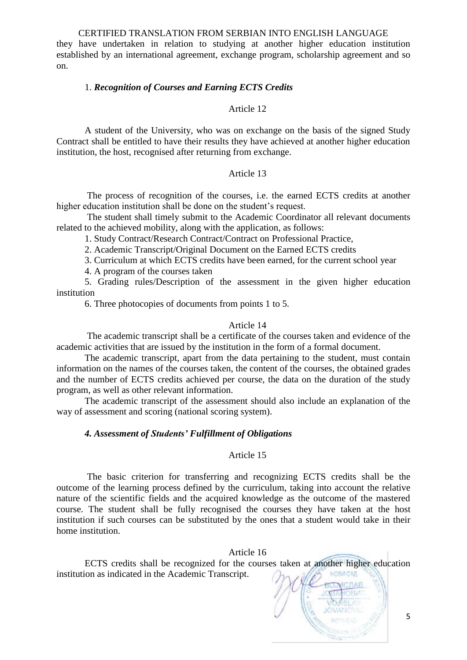they have undertaken in relation to studying at another higher education institution established by an international agreement, exchange program, scholarship agreement and so on.

## 1. *Recognition of Courses and Earning ECTS Credits*

## Article 12

A student of the University, who was on exchange on the basis of the signed Study Contract shall be entitled to have their results they have achieved at another higher education institution, the host, recognised after returning from exchange.

## Article 13

The process of recognition of the courses, i.e. the earned ECTS credits at another higher education institution shall be done on the student's request.

The student shall timely submit to the Academic Coordinator all relevant documents related to the achieved mobility, along with the application, as follows:

1. Study Contract/Research Contract/Contract on Professional Practice,

2. Academic Transcript/Original Document on the Earned ECTS credits

3. Curriculum at which ECTS credits have been earned, for the current school year

4. A program of the courses taken

5. Grading rules/Description of the assessment in the given higher education institution

6. Three photocopies of documents from points 1 to 5.

### Article 14

The academic transcript shall be a certificate of the courses taken and evidence of the academic activities that are issued by the institution in the form of a formal document.

The academic transcript, apart from the data pertaining to the student, must contain information on the names of the courses taken, the content of the courses, the obtained grades and the number of ECTS credits achieved per course, the data on the duration of the study program, as well as other relevant information.

The academic transcript of the assessment should also include an explanation of the way of assessment and scoring (national scoring system).

## *4. Assessment of Students' Fulfillment of Obligations*

## Article 15

The basic criterion for transferring and recognizing ECTS credits shall be the outcome of the learning process defined by the curriculum, taking into account the relative nature of the scientific fields and the acquired knowledge as the outcome of the mastered course. The student shall be fully recognised the courses they have taken at the host institution if such courses can be substituted by the ones that a student would take in their home institution.

## Article 16

ECTS credits shall be recognized for the courses taken at another higher education institution as indicated in the Academic Transcript.**HOBM CAR**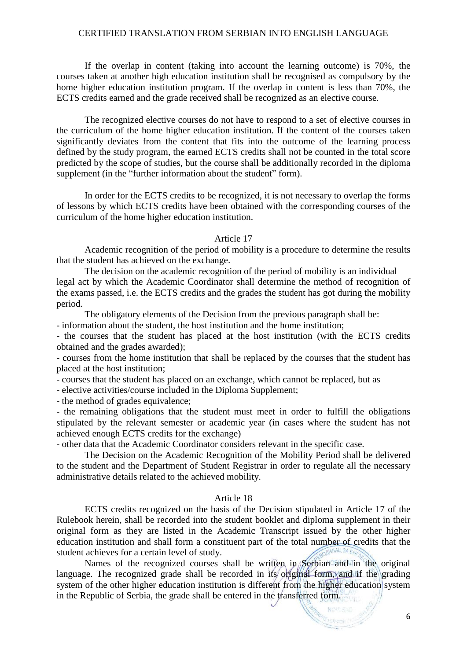If the overlap in content (taking into account the learning outcome) is 70%, the courses taken at another high education institution shall be recognised as compulsory by the home higher education institution program. If the overlap in content is less than 70%, the ECTS credits earned and the grade received shall be recognized as an elective course.

The recognized elective courses do not have to respond to a set of elective courses in the curriculum of the home higher education institution. If the content of the courses taken significantly deviates from the content that fits into the outcome of the learning process defined by the study program, the earned ECTS credits shall not be counted in the total score predicted by the scope of studies, but the course shall be additionally recorded in the diploma supplement (in the "further information about the student" form).

In order for the ECTS credits to be recognized, it is not necessary to overlap the forms of lessons by which ECTS credits have been obtained with the corresponding courses of the curriculum of the home higher education institution.

### Article 17

Academic recognition of the period of mobility is a procedure to determine the results that the student has achieved on the exchange.

The decision on the academic recognition of the period of mobility is an individual legal act by which the Academic Coordinator shall determine the method of recognition of the exams passed, i.e. the ECTS credits and the grades the student has got during the mobility period.

The obligatory elements of the Decision from the previous paragraph shall be:

- information about the student, the host institution and the home institution;

- the courses that the student has placed at the host institution (with the ECTS credits obtained and the grades awarded);

- courses from the home institution that shall be replaced by the courses that the student has placed at the host institution;

- courses that the student has placed on an exchange, which cannot be replaced, but as

- elective activities/course included in the Diploma Supplement;

- the method of grades equivalence;

- the remaining obligations that the student must meet in order to fulfill the obligations stipulated by the relevant semester or academic year (in cases where the student has not achieved enough ECTS credits for the exchange)

- other data that the Academic Coordinator considers relevant in the specific case.

The Decision on the Academic Recognition of the Mobility Period shall be delivered to the student and the Department of Student Registrar in order to regulate all the necessary administrative details related to the achieved mobility.

## Article 18

ECTS credits recognized on the basis of the Decision stipulated in Article 17 of the Rulebook herein, shall be recorded into the student booklet and diploma supplement in their original form as they are listed in the Academic Transcript issued by the other higher education institution and shall form a constituent part of the total number of credits that the student achieves for a certain level of study.

Names of the recognized courses shall be written in Serbian and in the original language. The recognized grade shall be recorded in its original form, and if the grading system of the other higher education institution is different from the higher education system in the Republic of Serbia, the grade shall be entered in the transferred form.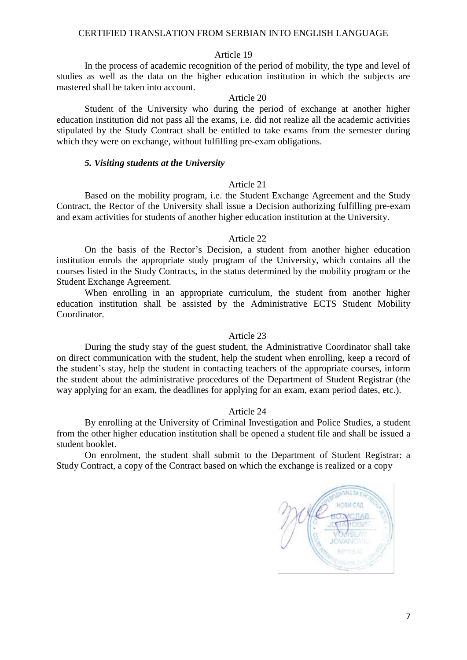#### Article 19

In the process of academic recognition of the period of mobility, the type and level of studies as well as the data on the higher education institution in which the subjects are mastered shall be taken into account.

#### Article 20

Student of the University who during the period of exchange at another higher education institution did not pass all the exams, i.e. did not realize all the academic activities stipulated by the Study Contract shall be entitled to take exams from the semester during which they were on exchange, without fulfilling pre-exam obligations.

#### *5. Visiting students at the University*

## Article 21

Based on the mobility program, i.e. the Student Exchange Agreement and the Study Contract, the Rector of the University shall issue a Decision authorizing fulfilling pre-exam and exam activities for students of another higher education institution at the University.

#### Article 22

On the basis of the Rector's Decision, a student from another higher education institution enrols the appropriate study program of the University, which contains all the courses listed in the Study Contracts, in the status determined by the mobility program or the Student Exchange Agreement.

When enrolling in an appropriate curriculum, the student from another higher education institution shall be assisted by the Administrative ECTS Student Mobility Coordinator.

#### Article 23

During the study stay of the guest student, the Administrative Coordinator shall take on direct communication with the student, help the student when enrolling, keep a record of the student's stay, help the student in contacting teachers of the appropriate courses, inform the student about the administrative procedures of the Department of Student Registrar (the way applying for an exam, the deadlines for applying for an exam, exam period dates, etc.).

#### Article 24

By enrolling at the University of Criminal Investigation and Police Studies, a student from the other higher education institution shall be opened a student file and shall be issued a student booklet.

On enrolment, the student shall submit to the Department of Student Registrar: a Study Contract, a copy of the Contract based on which the exchange is realized or a copy

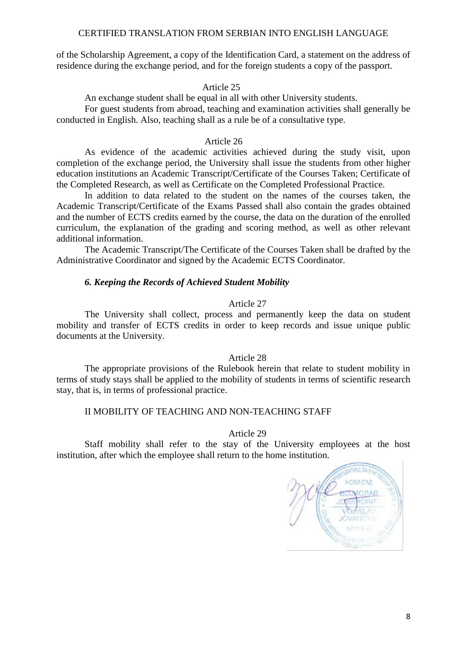of the Scholarship Agreement, a copy of the Identification Card, a statement on the address of residence during the exchange period, and for the foreign students a copy of the passport.

## Article 25

An exchange student shall be equal in all with other University students.

For guest students from abroad, teaching and examination activities shall generally be conducted in English. Also, teaching shall as a rule be of a consultative type.

## Article 26

As evidence of the academic activities achieved during the study visit, upon completion of the exchange period, the University shall issue the students from other higher education institutions an Academic Transcript/Certificate of the Courses Taken; Certificate of the Completed Research, as well as Certificate on the Completed Professional Practice.

In addition to data related to the student on the names of the courses taken, the Academic Transcript/Certificate of the Exams Passed shall also contain the grades obtained and the number of ECTS credits earned by the course, the data on the duration of the enrolled curriculum, the explanation of the grading and scoring method, as well as other relevant additional information.

The Academic Transcript/The Certificate of the Courses Taken shall be drafted by the Administrative Coordinator and signed by the Academic ECTS Coordinator.

## *6. Keeping the Records of Achieved Student Mobility*

### Article 27

The University shall collect, process and permanently keep the data on student mobility and transfer of ECTS credits in order to keep records and issue unique public documents at the University.

#### Article 28

The appropriate provisions of the Rulebook herein that relate to student mobility in terms of study stays shall be applied to the mobility of students in terms of scientific research stay, that is, in terms of professional practice.

## II MOBILITY OF TEACHING AND NON-TEACHING STAFF

#### Article 29

Staff mobility shall refer to the stay of the University employees at the host institution, after which the employee shall return to the home institution.

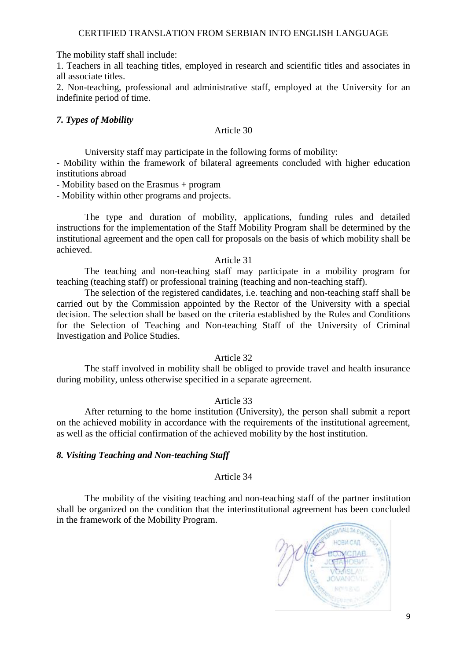The mobility staff shall include:

1. Teachers in all teaching titles, employed in research and scientific titles and associates in all associate titles.

2. Non-teaching, professional and administrative staff, employed at the University for an indefinite period of time.

# *7. Types of Mobility*

## Article 30

University staff may participate in the following forms of mobility:

- Mobility within the framework of bilateral agreements concluded with higher education institutions abroad

- Mobility based on the Erasmus + program

- Mobility within other programs and projects.

The type and duration of mobility, applications, funding rules and detailed instructions for the implementation of the Staff Mobility Program shall be determined by the institutional agreement and the open call for proposals on the basis of which mobility shall be achieved.

## Article 31

The teaching and non-teaching staff may participate in a mobility program for teaching (teaching staff) or professional training (teaching and non-teaching staff).

The selection of the registered candidates, i.e. teaching and non-teaching staff shall be carried out by the Commission appointed by the Rector of the University with a special decision. The selection shall be based on the criteria established by the Rules and Conditions for the Selection of Teaching and Non-teaching Staff of the University of Criminal Investigation and Police Studies.

## Article 32

The staff involved in mobility shall be obliged to provide travel and health insurance during mobility, unless otherwise specified in a separate agreement.

# Article 33

After returning to the home institution (University), the person shall submit a report on the achieved mobility in accordance with the requirements of the institutional agreement, as well as the official confirmation of the achieved mobility by the host institution.

# *8. Visiting Teaching and Non-teaching Staff*

# Article 34

The mobility of the visiting teaching and non-teaching staff of the partner institution shall be organized on the condition that the interinstitutional agreement has been concluded in the framework of the Mobility Program.